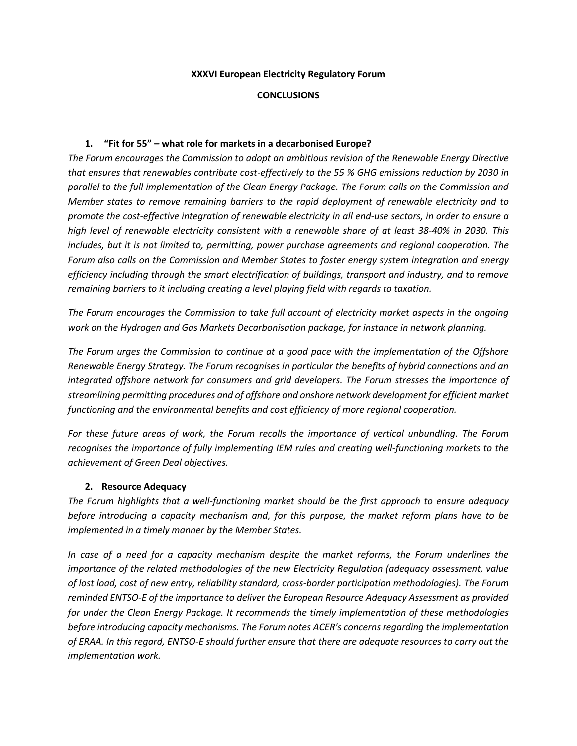#### **XXXVI European Electricity Regulatory Forum**

#### **CONCLUSIONS**

#### **1. "Fit for 55" – what role for markets in a decarbonised Europe?**

*The Forum encourages the Commission to adopt an ambitious revision of the Renewable Energy Directive that ensures that renewables contribute cost-effectively to the 55 % GHG emissions reduction by 2030 in parallel to the full implementation of the Clean Energy Package. The Forum calls on the Commission and Member states to remove remaining barriers to the rapid deployment of renewable electricity and to promote the cost-effective integration of renewable electricity in all end-use sectors, in order to ensure a high level of renewable electricity consistent with a renewable share of at least 38-40% in 2030. This includes, but it is not limited to, permitting, power purchase agreements and regional cooperation. The Forum also calls on the Commission and Member States to foster energy system integration and energy efficiency including through the smart electrification of buildings, transport and industry, and to remove remaining barriers to it including creating a level playing field with regards to taxation.*

*The Forum encourages the Commission to take full account of electricity market aspects in the ongoing work on the Hydrogen and Gas Markets Decarbonisation package, for instance in network planning.*

*The Forum urges the Commission to continue at a good pace with the implementation of the Offshore Renewable Energy Strategy. The Forum recognises in particular the benefits of hybrid connections and an integrated offshore network for consumers and grid developers. The Forum stresses the importance of streamlining permitting procedures and of offshore and onshore network development for efficient market functioning and the environmental benefits and cost efficiency of more regional cooperation.*

*For these future areas of work, the Forum recalls the importance of vertical unbundling. The Forum recognises the importance of fully implementing IEM rules and creating well-functioning markets to the achievement of Green Deal objectives.*

#### **2. Resource Adequacy**

*The Forum highlights that a well-functioning market should be the first approach to ensure adequacy before introducing a capacity mechanism and, for this purpose, the market reform plans have to be implemented in a timely manner by the Member States.*

*In case of a need for a capacity mechanism despite the market reforms, the Forum underlines the importance of the related methodologies of the new Electricity Regulation (adequacy assessment, value of lost load, cost of new entry, reliability standard, cross-border participation methodologies). The Forum reminded ENTSO-E of the importance to deliver the European Resource Adequacy Assessment as provided for under the Clean Energy Package. It recommends the timely implementation of these methodologies before introducing capacity mechanisms. The Forum notes ACER's concerns regarding the implementation of ERAA. In this regard, ENTSO-E should further ensure that there are adequate resources to carry out the implementation work.*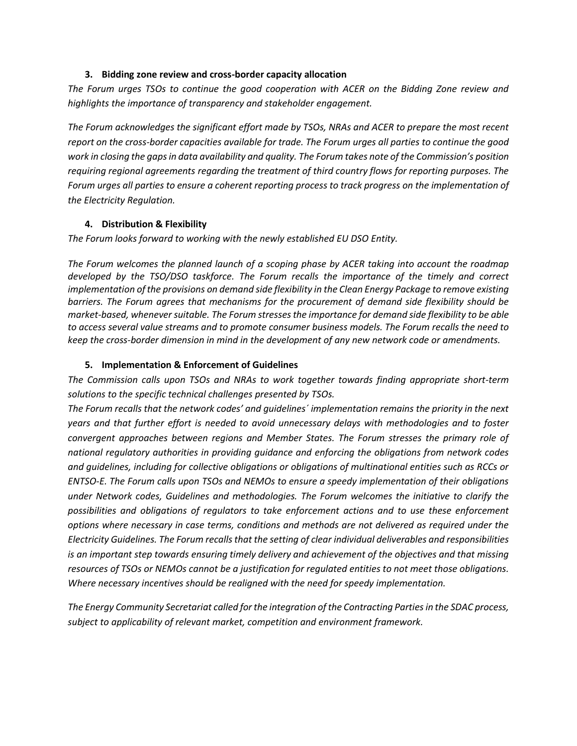#### **3. Bidding zone review and cross-border capacity allocation**

*The Forum urges TSOs to continue the good cooperation with ACER on the Bidding Zone review and highlights the importance of transparency and stakeholder engagement.*

*The Forum acknowledges the significant effort made by TSOs, NRAs and ACER to prepare the most recent report on the cross-border capacities available for trade. The Forum urges all parties to continue the good work in closing the gaps in data availability and quality. The Forum takes note of the Commission's position requiring regional agreements regarding the treatment of third country flows for reporting purposes. The Forum urges all parties to ensure a coherent reporting process to track progress on the implementation of the Electricity Regulation.*

# **4. Distribution & Flexibility**

*The Forum looks forward to working with the newly established EU DSO Entity.*

*The Forum welcomes the planned launch of a scoping phase by ACER taking into account the roadmap developed by the TSO/DSO taskforce. The Forum recalls the importance of the timely and correct implementation of the provisions on demand side flexibility in the Clean Energy Package to remove existing barriers. The Forum agrees that mechanisms for the procurement of demand side flexibility should be market-based, whenever suitable. The Forum stresses the importance for demand side flexibility to be able to access several value streams and to promote consumer business models. The Forum recalls the need to keep the cross-border dimension in mind in the development of any new network code or amendments.*

# **5. Implementation & Enforcement of Guidelines**

*The Commission calls upon TSOs and NRAs to work together towards finding appropriate short-term solutions to the specific technical challenges presented by TSOs.*

*The Forum recalls that the network codes' and guidelines´ implementation remains the priority in the next years and that further effort is needed to avoid unnecessary delays with methodologies and to foster convergent approaches between regions and Member States. The Forum stresses the primary role of national regulatory authorities in providing guidance and enforcing the obligations from network codes and guidelines, including for collective obligations or obligations of multinational entities such as RCCs or ENTSO-E. The Forum calls upon TSOs and NEMOs to ensure a speedy implementation of their obligations under Network codes, Guidelines and methodologies. The Forum welcomes the initiative to clarify the possibilities and obligations of regulators to take enforcement actions and to use these enforcement options where necessary in case terms, conditions and methods are not delivered as required under the Electricity Guidelines. The Forum recalls that the setting of clear individual deliverables and responsibilities is an important step towards ensuring timely delivery and achievement of the objectives and that missing resources of TSOs or NEMOs cannot be a justification for regulated entities to not meet those obligations. Where necessary incentives should be realigned with the need for speedy implementation.*

*The Energy Community Secretariat called for the integration of the Contracting Parties in the SDAC process, subject to applicability of relevant market, competition and environment framework.*